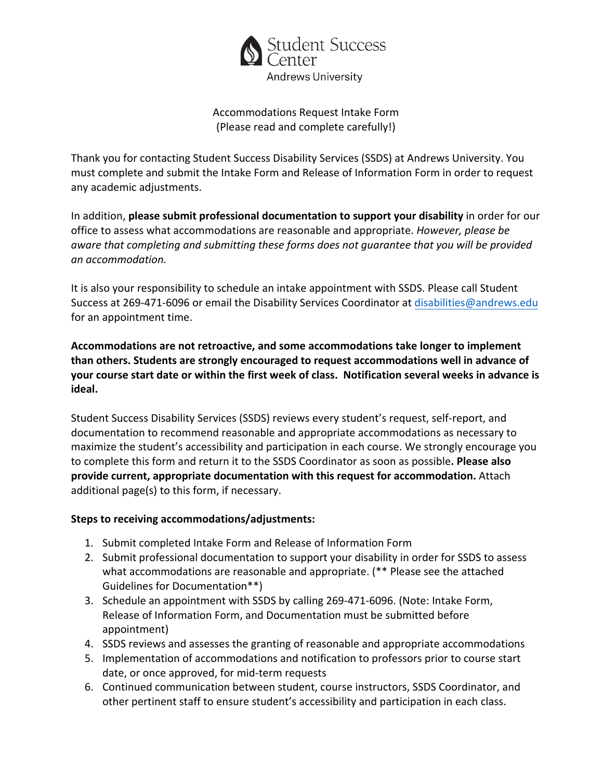

#### Accommodations Request Intake Form (Please read and complete carefully!)

Thank you for contacting Student Success Disability Services (SSDS) at Andrews University. You must complete and submit the Intake Form and Release of Information Form in order to request any academic adjustments.

In addition, **please submit professional documentation to support your disability** in order for our office to assess what accommodations are reasonable and appropriate. *However, please be aware that completing and submitting these forms does not guarantee that you will be provided an accommodation.*

It is also your responsibility to schedule an intake appointment with SSDS. Please call Student Success at 269-471-6096 or email the Disability Services Coordinator at disabilities[@andrews.ed](mailto:walkerfr@andrews.edu)u for an appointment time.

**Accommodations are not retroactive, and some accommodations take longer to implement than others. Students are strongly encouraged to request accommodations well in advance of your course start date or within the first week of class. Notification several weeks in advance is ideal.** 

Student Success Disability Services (SSDS) reviews every student's request, self-report, and documentation to recommend reasonable and appropriate accommodations as necessary to maximize the student's accessibility and participation in each course. We strongly encourage you to complete this form and return it to the SSDS Coordinator as soon as possible**. Please also provide current, appropriate documentation with this request for accommodation.** Attach additional page(s) to this form, if necessary.

### **Steps to receiving accommodations/adjustments:**

- 1. Submit completed Intake Form and Release of Information Form
- 2. Submit professional documentation to support your disability in order for SSDS to assess what accommodations are reasonable and appropriate. (\*\* Please see the attached Guidelines for Documentation\*\*)
- 3. Schedule an appointment with SSDS by calling 269-471-6096. (Note: Intake Form, Release of Information Form, and Documentation must be submitted before appointment)
- 4. SSDS reviews and assesses the granting of reasonable and appropriate accommodations
- 5. Implementation of accommodations and notification to professors prior to course start date, or once approved, for mid-term requests
- 6. Continued communication between student, course instructors, SSDS Coordinator, and other pertinent staff to ensure student's accessibility and participation in each class.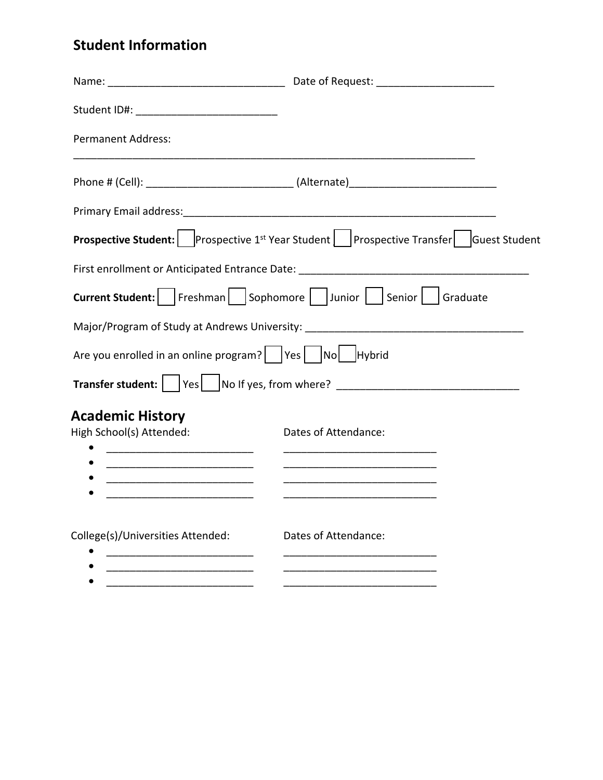# **Student Information**

| Student ID#: ________________________________                    |                                                                                                             |
|------------------------------------------------------------------|-------------------------------------------------------------------------------------------------------------|
| <b>Permanent Address:</b>                                        |                                                                                                             |
|                                                                  |                                                                                                             |
|                                                                  |                                                                                                             |
|                                                                  | <b>Prospective Student:</b> Prospective 1 <sup>st</sup> Year Student   Prospective Transfer   Guest Student |
|                                                                  | First enrollment or Anticipated Entrance Date: __________________________________                           |
|                                                                  | Current Student:     Freshman     Sophomore     Junior     Senior     Graduate                              |
|                                                                  | Major/Program of Study at Andrews University: __________________________________                            |
| Are you enrolled in an online program?     Yes     No     Hybrid |                                                                                                             |
|                                                                  | Transfer student:    Yes   No If yes, from where? ______________________________                            |
| <b>Academic History</b>                                          |                                                                                                             |
| High School(s) Attended:                                         | Dates of Attendance:                                                                                        |
|                                                                  |                                                                                                             |
|                                                                  | <u> 1989 - Johann Barbara, martxa al III-lea (h. 1989).</u>                                                 |
|                                                                  |                                                                                                             |
| College(s)/Universities Attended:                                | Dates of Attendance:                                                                                        |
|                                                                  |                                                                                                             |
|                                                                  |                                                                                                             |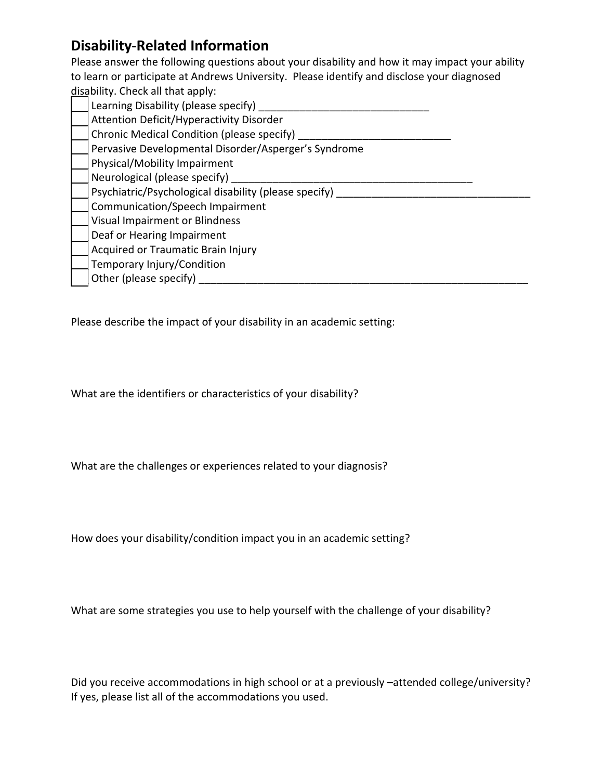### **Disability-Related Information**

Please answer the following questions about your disability and how it may impact your ability to learn or participate at Andrews University. Please identify and disclose your diagnosed disability. Check all that apply:

| Learning Disability (please specify)                  |
|-------------------------------------------------------|
| Attention Deficit/Hyperactivity Disorder              |
| Chronic Medical Condition (please specify)            |
| Pervasive Developmental Disorder/Asperger's Syndrome  |
| Physical/Mobility Impairment                          |
| Neurological (please specify)                         |
| Psychiatric/Psychological disability (please specify) |
| Communication/Speech Impairment                       |
| <b>Visual Impairment or Blindness</b>                 |
| Deaf or Hearing Impairment                            |
| Acquired or Traumatic Brain Injury                    |
| Temporary Injury/Condition                            |
| Other (please specify)                                |
|                                                       |

Please describe the impact of your disability in an academic setting:

What are the identifiers or characteristics of your disability?

What are the challenges or experiences related to your diagnosis?

How does your disability/condition impact you in an academic setting?

What are some strategies you use to help yourself with the challenge of your disability?

Did you receive accommodations in high school or at a previously –attended college/university? If yes, please list all of the accommodations you used.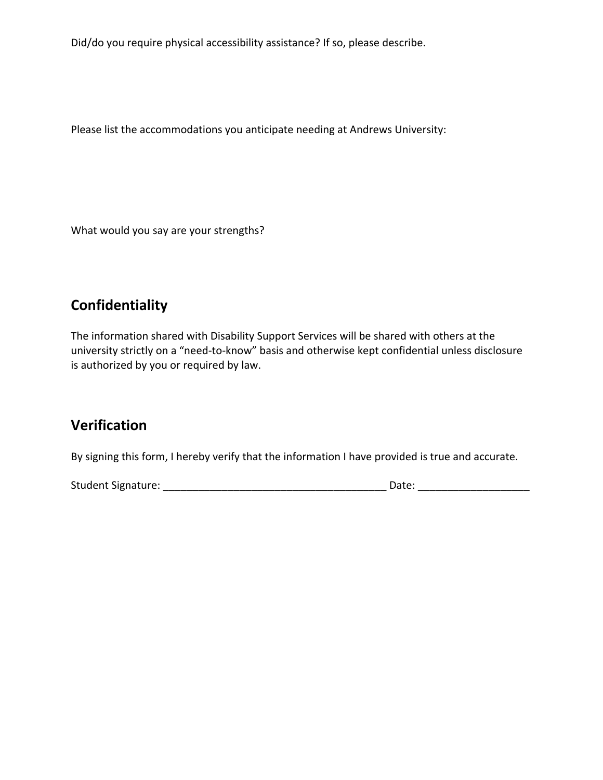Did/do you require physical accessibility assistance? If so, please describe.

Please list the accommodations you anticipate needing at Andrews University:

What would you say are your strengths?

### **Confidentiality**

The information shared with Disability Support Services will be shared with others at the university strictly on a "need-to-know" basis and otherwise kept confidential unless disclosure is authorized by you or required by law.

### **Verification**

By signing this form, I hereby verify that the information I have provided is true and accurate.

Student Signature: \_\_\_\_\_\_\_\_\_\_\_\_\_\_\_\_\_\_\_\_\_\_\_\_\_\_\_\_\_\_\_\_\_\_\_\_\_\_ Date: \_\_\_\_\_\_\_\_\_\_\_\_\_\_\_\_\_\_\_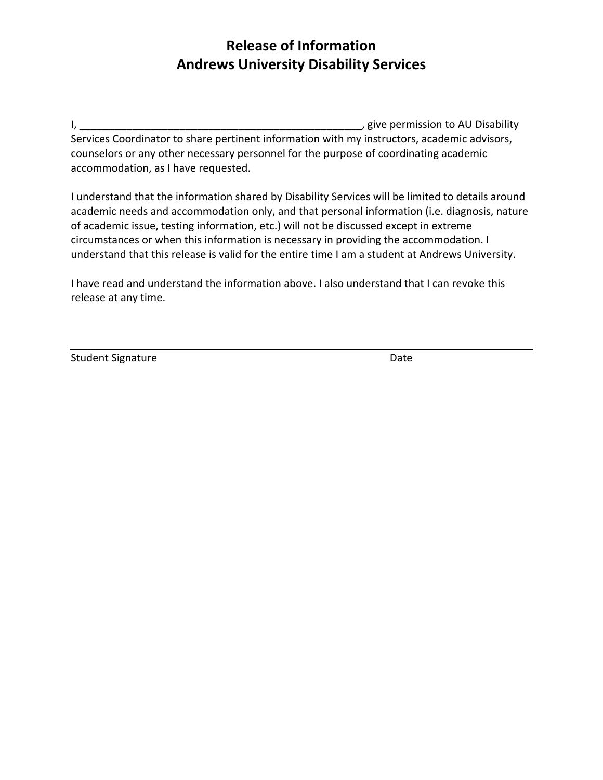## **Release of Information Andrews University Disability Services**

I, the contract of the contract of the contract of the contract of the contract of the contract of the contract of the contract of the contract of the contract of the contract of the contract of the contract of the contrac Services Coordinator to share pertinent information with my instructors, academic advisors, counselors or any other necessary personnel for the purpose of coordinating academic accommodation, as I have requested.

I understand that the information shared by Disability Services will be limited to details around academic needs and accommodation only, and that personal information (i.e. diagnosis, nature of academic issue, testing information, etc.) will not be discussed except in extreme circumstances or when this information is necessary in providing the accommodation. I understand that this release is valid for the entire time I am a student at Andrews University.

I have read and understand the information above. I also understand that I can revoke this release at any time.

Student Signature Date Date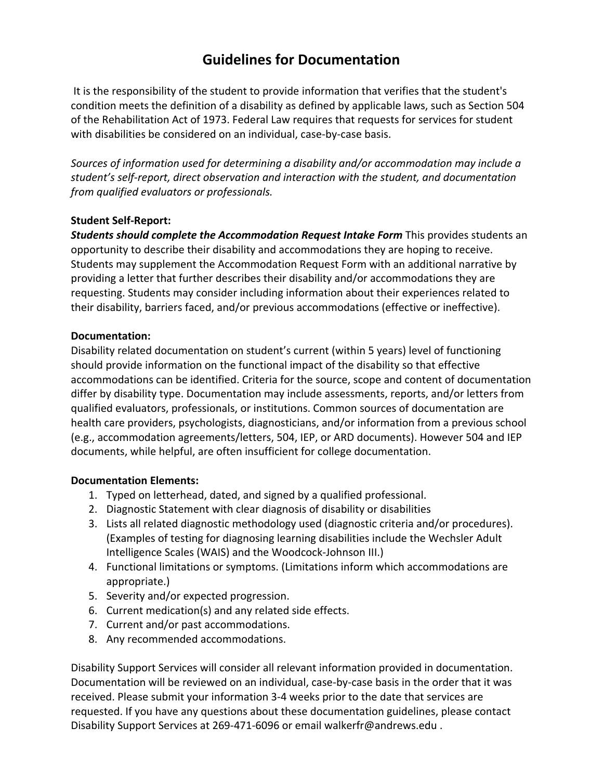### **Guidelines for Documentation**

It is the responsibility of the student to provide information that verifies that the student's condition meets the definition of a disability as defined by applicable laws, such as Section 504 of the Rehabilitation Act of 1973. Federal Law requires that requests for services for student with disabilities be considered on an individual, case-by-case basis.

*Sources of information used for determining a disability and/or accommodation may include a student's self-report, direct observation and interaction with the student, and documentation from qualified evaluators or professionals.* 

#### **Student Self-Report:**

*Students should complete the Accommodation Request Intake Form* This provides students an opportunity to describe their disability and accommodations they are hoping to receive. Students may supplement the Accommodation Request Form with an additional narrative by providing a letter that further describes their disability and/or accommodations they are requesting. Students may consider including information about their experiences related to their disability, barriers faced, and/or previous accommodations (effective or ineffective).

#### **Documentation:**

Disability related documentation on student's current (within 5 years) level of functioning should provide information on the functional impact of the disability so that effective accommodations can be identified. Criteria for the source, scope and content of documentation differ by disability type. Documentation may include assessments, reports, and/or letters from qualified evaluators, professionals, or institutions. Common sources of documentation are health care providers, psychologists, diagnosticians, and/or information from a previous school (e.g., accommodation agreements/letters, 504, IEP, or ARD documents). However 504 and IEP documents, while helpful, are often insufficient for college documentation.

#### **Documentation Elements:**

- 1. Typed on letterhead, dated, and signed by a qualified professional.
- 2. Diagnostic Statement with clear diagnosis of disability or disabilities
- 3. Lists all related diagnostic methodology used (diagnostic criteria and/or procedures). (Examples of testing for diagnosing learning disabilities include the Wechsler Adult Intelligence Scales (WAIS) and the Woodcock-Johnson III.)
- 4. Functional limitations or symptoms. (Limitations inform which accommodations are appropriate.)
- 5. Severity and/or expected progression.
- 6. Current medication(s) and any related side effects.
- 7. Current and/or past accommodations.
- 8. Any recommended accommodations.

Disability Support Services will consider all relevant information provided in documentation. Documentation will be reviewed on an individual, case-by-case basis in the order that it was received. Please submit your information 3-4 weeks prior to the date that services are requested. If you have any questions about these documentation guidelines, please contact Disability Support Services at 269-471-6096 or email walkerfr@andrews.edu .